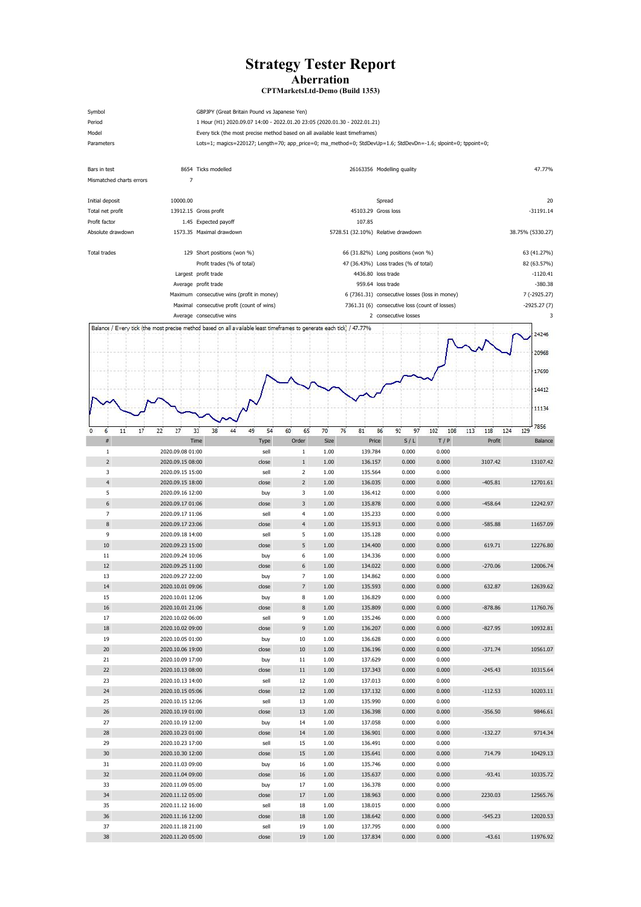## **Strategy Tester Report Aberration**

Symbol GBPJPY (Great Britain Pound vs Japanese Yen) Period 1 Hour (H1) 2020.09.07 14:00 - 2022.01.20 23:05 (2020.01.30 - 2022.01.21) Model **Every tick (the most precise method based on all available least timeframes)** Parameters Lots=1; magics=220127; Length=70; app\_price=0; ma\_method=0; StdDevUp=1.6; StdDevDn=-1.6; slpoint=0; tppoint=0;

## **CPTMarketsLtd-Demo (Build 1353)**

| Bars in test             | 8654 Ticks modelled                                                                                                   |                                            |                                                |              | 26163356 Modelling quality                     |                      |                |                                 | 47.77%      |  |  |  |
|--------------------------|-----------------------------------------------------------------------------------------------------------------------|--------------------------------------------|------------------------------------------------|--------------|------------------------------------------------|----------------------|----------------|---------------------------------|-------------|--|--|--|
| Mismatched charts errors | $\overline{7}$                                                                                                        |                                            |                                                |              |                                                |                      |                |                                 |             |  |  |  |
| Initial deposit          | 10000.00                                                                                                              |                                            |                                                |              | Spread                                         |                      |                |                                 | 20          |  |  |  |
| Total net profit         | 13912.15 Gross profit                                                                                                 |                                            |                                                |              | 45103.29 Gross loss                            |                      |                | $-31191.14$<br>38.75% (5330.27) |             |  |  |  |
| Profit factor            | 1.45 Expected payoff                                                                                                  |                                            |                                                |              | 107.85                                         |                      |                |                                 |             |  |  |  |
| Absolute drawdown        | 1573.35 Maximal drawdown                                                                                              |                                            |                                                |              | 5728.51 (32.10%) Relative drawdown             |                      |                |                                 |             |  |  |  |
|                          |                                                                                                                       |                                            |                                                |              |                                                |                      |                |                                 |             |  |  |  |
| Total trades             | 129 Short positions (won %)                                                                                           |                                            |                                                |              | 66 (31.82%) Long positions (won %)             |                      |                |                                 | 63 (41.27%) |  |  |  |
|                          | Profit trades (% of total)                                                                                            |                                            |                                                |              | 47 (36.43%) Loss trades (% of total)           |                      |                |                                 | 82 (63.57%) |  |  |  |
|                          | Largest profit trade                                                                                                  |                                            |                                                |              | 4436.80 loss trade                             |                      |                |                                 | $-1120.41$  |  |  |  |
|                          | Average profit trade                                                                                                  |                                            |                                                |              | 959.64 loss trade                              |                      |                |                                 | $-380.38$   |  |  |  |
|                          |                                                                                                                       | Maximum consecutive wins (profit in money) |                                                |              | 6 (7361.31) consecutive losses (loss in money) |                      | 7 (-2925.27)   |                                 |             |  |  |  |
|                          | Maximal consecutive profit (count of wins)                                                                            |                                            | 7361.31 (6) consecutive loss (count of losses) |              |                                                | $-2925.27(7)$        |                |                                 |             |  |  |  |
|                          | Average consecutive wins                                                                                              |                                            |                                                |              |                                                | 2 consecutive losses |                |                                 | 3           |  |  |  |
|                          | Balance / Every tick (the most precise method based on all available least timeframes to generate each tick) / 47.77% |                                            |                                                |              |                                                |                      |                |                                 | 24246       |  |  |  |
|                          |                                                                                                                       |                                            |                                                |              |                                                |                      |                |                                 |             |  |  |  |
|                          |                                                                                                                       |                                            |                                                |              |                                                |                      |                |                                 | 20968       |  |  |  |
|                          |                                                                                                                       |                                            |                                                |              |                                                |                      |                |                                 |             |  |  |  |
|                          |                                                                                                                       |                                            |                                                |              |                                                |                      |                |                                 | 17690       |  |  |  |
|                          |                                                                                                                       |                                            |                                                |              |                                                |                      |                |                                 | 14412       |  |  |  |
|                          |                                                                                                                       |                                            |                                                |              |                                                |                      |                |                                 |             |  |  |  |
|                          |                                                                                                                       |                                            |                                                |              |                                                |                      |                |                                 | 11134       |  |  |  |
|                          |                                                                                                                       |                                            |                                                |              |                                                |                      |                |                                 |             |  |  |  |
| 6<br>11<br>17<br>0       | 27<br>33<br>38<br>22                                                                                                  | 49<br>54<br>44                             | 60<br>65                                       | 70<br>76     | 86<br>81                                       | 92<br>97             | 102<br>108     | 113<br>118<br>124               | 7856<br>129 |  |  |  |
| $\#$                     | Time                                                                                                                  | Type                                       | Order                                          | Size         | Price                                          | S/L                  | T/P            | Profit                          | Balance     |  |  |  |
| 1                        | 2020.09.08 01:00                                                                                                      | sell                                       | 1                                              | 1.00         | 139.784                                        | 0.000                | 0.000          |                                 |             |  |  |  |
| $\overline{2}$           | 2020.09.15 08:00                                                                                                      | close                                      | $\mathbf{1}$                                   | 1.00         | 136.157                                        | 0.000                | 0.000          | 3107.42                         | 13107.42    |  |  |  |
| 3                        | 2020.09.15 15:00                                                                                                      | sell                                       | $\overline{2}$                                 | 1.00         | 135.564                                        | 0.000                | 0.000          |                                 |             |  |  |  |
| $\overline{4}$           | 2020.09.15 18:00                                                                                                      | close                                      | $\overline{2}$                                 | 1.00         | 136.035                                        | 0.000                | 0.000          | $-405.81$                       | 12701.61    |  |  |  |
| 5                        | 2020.09.16 12:00                                                                                                      | buy                                        | 3                                              | 1.00         | 136.412                                        | 0.000                | 0.000          |                                 |             |  |  |  |
|                          | 2020.09.17 01:06                                                                                                      | close                                      | 3                                              | 1.00         | 135.878                                        | 0.000                | 0.000          | $-458.64$                       | 12242.97    |  |  |  |
| $\overline{7}$           | 2020.09.17 11:06                                                                                                      | sell                                       | 4                                              | 1.00         | 135.233                                        | 0.000                | 0.000          |                                 |             |  |  |  |
| 8<br>9                   | 2020.09.17 23:06<br>2020.09.18 14:00                                                                                  | close<br>sell                              | $\overline{4}$<br>5                            | 1.00<br>1.00 | 135.913<br>135.128                             | 0.000<br>0.000       | 0.000<br>0.000 | $-585.88$                       | 11657.09    |  |  |  |
| $10\,$                   | 2020.09.23 15:00                                                                                                      | close                                      | 5 <sub>1</sub>                                 | 1.00         | 134.400                                        | 0.000                | 0.000          | 619.71                          | 12276.80    |  |  |  |
| 11                       | 2020.09.24 10:06                                                                                                      | buy                                        | 6                                              | 1.00         | 134.336                                        | 0.000                | 0.000          |                                 |             |  |  |  |
| 12                       | 2020.09.25 11:00                                                                                                      | close                                      | 6                                              | 1.00         | 134.022                                        | 0.000                | 0.000          | $-270.06$                       | 12006.74    |  |  |  |
| 13                       | 2020.09.27 22:00                                                                                                      | buy                                        | $7\overline{ }$                                | 1.00         | 134.862                                        | 0.000                | 0.000          |                                 |             |  |  |  |
| 14                       | 2020.10.01 09:06                                                                                                      | close                                      | $7\overline{ }$                                | 1.00         | 135.593                                        | 0.000                | 0.000          | 632.87                          | 12639.62    |  |  |  |
| 15                       | 2020.10.01 12:06                                                                                                      | buy                                        | 8                                              | 1.00         | 136.829                                        | 0.000                | 0.000          |                                 |             |  |  |  |
| 16                       | 2020.10.01 21:06                                                                                                      | close                                      | $8\phantom{1}$                                 | 1.00         | 135.809                                        | 0.000                | 0.000          | $-878.86$                       | 11760.76    |  |  |  |
| 17                       | 2020.10.02 06:00                                                                                                      | sell                                       | 9                                              | 1.00         | 135.246                                        | 0.000                | 0.000          |                                 |             |  |  |  |
| $18\,$                   | 2020.10.02 09:00                                                                                                      | close                                      | 9                                              | 1.00         | 136.207                                        | 0.000                | 0.000          | $-827.95$                       | 10932.81    |  |  |  |
| 19                       | 2020.10.05 01:00                                                                                                      | buy                                        | 10                                             | 1.00         | 136.628                                        | 0.000                | 0.000          |                                 |             |  |  |  |
| 20                       | 2020.10.06 19:00                                                                                                      | close                                      | 10                                             | 1.00         | 136.196                                        | 0.000                | 0.000          | $-371.74$                       | 10561.07    |  |  |  |
| 21                       | 2020.10.09 17:00                                                                                                      | buy                                        | 11                                             | 1.00         | 137.629                                        | 0.000                | 0.000          |                                 |             |  |  |  |
| 22                       | 2020.10.13 08:00                                                                                                      | close                                      | 11                                             | 1.00         | 137.343                                        | 0.000                | 0.000          | $-245.43$                       | 10315.64    |  |  |  |
| 23                       | 2020.10.13 14:00                                                                                                      | sell                                       | 12                                             | 1.00         | 137.013                                        | 0.000                | 0.000          |                                 |             |  |  |  |
| 24                       | 2020.10.15 05:06                                                                                                      | close                                      | 12                                             | 1.00         | 137.132                                        | 0.000                | 0.000          | $-112.53$                       | 10203.11    |  |  |  |
| 25                       | 2020.10.15 12:06                                                                                                      | sell                                       | 13                                             | 1.00         | 135.990                                        | 0.000                | 0.000          |                                 |             |  |  |  |
| $26\,$                   | 2020.10.19 01:00                                                                                                      | close                                      | 13                                             | 1.00         | 136.398                                        | 0.000                | 0.000          | $-356.50$                       | 9846.61     |  |  |  |
| 27                       | 2020.10.19 12:00                                                                                                      | buy                                        | 14                                             | 1.00         | 137.058                                        | 0.000                | 0.000          |                                 |             |  |  |  |
| ${\bf 28}$               | 2020.10.23 01:00                                                                                                      | close                                      | 14                                             | 1.00         | 136.901                                        | 0.000                | 0.000          | $-132.27$                       | 9714.34     |  |  |  |
| 29                       | 2020.10.23 17:00                                                                                                      | sell                                       | 15                                             | 1.00         | 136.491                                        | 0.000                | 0.000          |                                 |             |  |  |  |
| $30\,$                   | 2020.10.30 12:00                                                                                                      | close                                      | $15\,$                                         | 1.00         | 135.641<br>135.746                             | 0.000                | 0.000<br>0.000 | 714.79                          | 10429.13    |  |  |  |
| 31<br>32                 | 2020.11.03 09:00<br>2020.11.04 09:00                                                                                  | buy                                        | 16<br>16                                       | 1.00<br>1.00 | 135.637                                        | 0.000<br>0.000       | 0.000          | $-93.41$                        | 10335.72    |  |  |  |
| 33                       | 2020.11.09 05:00                                                                                                      | close                                      | 17                                             | 1.00         | 136.378                                        | 0.000                | 0.000          |                                 |             |  |  |  |
| 34                       | 2020.11.12 05:00                                                                                                      | buy<br>close                               | 17                                             | 1.00         | 138.963                                        | 0.000                | 0.000          | 2230.03                         | 12565.76    |  |  |  |
| 35                       | 2020.11.12 16:00                                                                                                      | sell                                       | 18                                             | 1.00         | 138.015                                        | 0.000                | 0.000          |                                 |             |  |  |  |
| 36                       | 2020.11.16 12:00                                                                                                      | close                                      | 18                                             | 1.00         | 138.642                                        | 0.000                | 0.000          | $-545.23$                       | 12020.53    |  |  |  |
| 37                       | 2020.11.18 21:00                                                                                                      | sell                                       | 19                                             | 1.00         | 137.795                                        | 0.000                | 0.000          |                                 |             |  |  |  |
| 38                       | 2020.11.20 05:00                                                                                                      | close                                      | 19                                             | 1.00         | 137.834                                        | 0.000                | 0.000          | $-43.61$                        | 11976.92    |  |  |  |
|                          |                                                                                                                       |                                            |                                                |              |                                                |                      |                |                                 |             |  |  |  |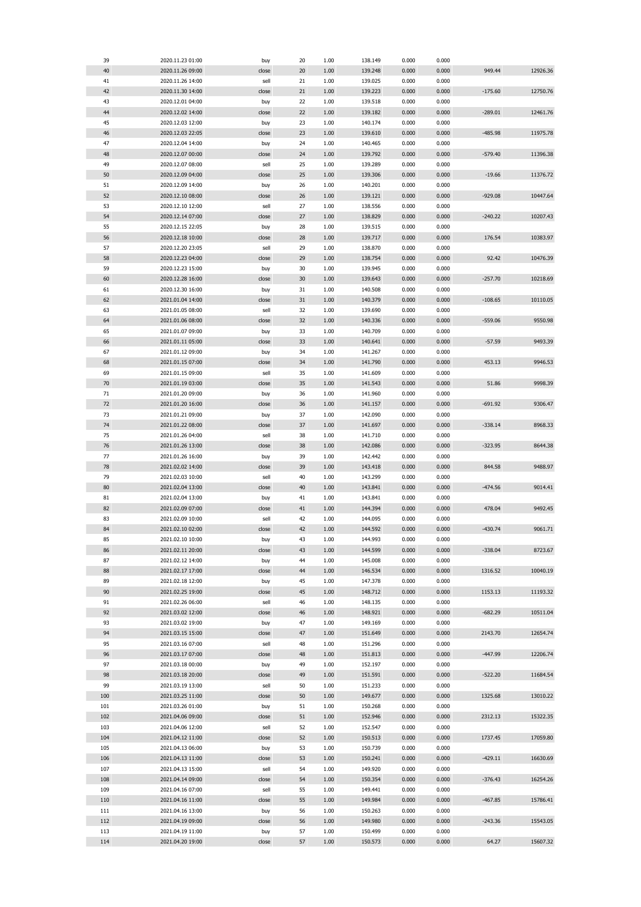| 39  | 2020.11.23 01:00 | buy   | 20 | 1.00     | 138.149 | 0.000 | 0.000 |           |          |
|-----|------------------|-------|----|----------|---------|-------|-------|-----------|----------|
| 40  | 2020.11.26 09:00 | close | 20 | 1.00     | 139.248 | 0.000 | 0.000 | 949.44    | 12926.36 |
| 41  | 2020.11.26 14:00 | sell  | 21 | 1.00     | 139.025 | 0.000 | 0.000 |           |          |
| 42  | 2020.11.30 14:00 | close | 21 | 1.00     | 139.223 | 0.000 | 0.000 | $-175.60$ | 12750.76 |
|     |                  |       |    |          |         |       |       |           |          |
| 43  | 2020.12.01 04:00 | buy   | 22 | 1.00     | 139.518 | 0.000 | 0.000 |           |          |
| 44  | 2020.12.02 14:00 | close | 22 | 1.00     | 139.182 | 0.000 | 0.000 | $-289.01$ | 12461.76 |
| 45  | 2020.12.03 12:00 | buy   | 23 | 1.00     | 140.174 | 0.000 | 0.000 |           |          |
| 46  | 2020.12.03 22:05 | close | 23 | 1.00     | 139.610 | 0.000 | 0.000 | $-485.98$ | 11975.78 |
| 47  | 2020.12.04 14:00 | buy   | 24 | 1.00     | 140.465 | 0.000 | 0.000 |           |          |
|     |                  |       |    |          |         |       |       |           |          |
| 48  | 2020.12.07 00:00 | close | 24 | 1.00     | 139.792 | 0.000 | 0.000 | $-579.40$ | 11396.38 |
| 49  | 2020.12.07 08:00 | sell  | 25 | 1.00     | 139.289 | 0.000 | 0.000 |           |          |
| 50  | 2020.12.09 04:00 | close | 25 | 1.00     | 139.306 | 0.000 | 0.000 | $-19.66$  | 11376.72 |
| 51  | 2020.12.09 14:00 | buy   | 26 | 1.00     | 140.201 | 0.000 | 0.000 |           |          |
| 52  | 2020.12.10 08:00 | close | 26 | 1.00     | 139.121 | 0.000 | 0.000 | $-929.08$ | 10447.64 |
|     |                  |       |    |          |         |       |       |           |          |
| 53  | 2020.12.10 12:00 | sell  | 27 | 1.00     | 138.556 | 0.000 | 0.000 |           |          |
| 54  | 2020.12.14 07:00 | close | 27 | 1.00     | 138.829 | 0.000 | 0.000 | $-240.22$ | 10207.43 |
| 55  | 2020.12.15 22:05 | buy   | 28 | 1.00     | 139.515 | 0.000 | 0.000 |           |          |
| 56  | 2020.12.18 10:00 | close | 28 | 1.00     | 139.717 | 0.000 | 0.000 | 176.54    | 10383.97 |
| 57  | 2020.12.20 23:05 | sell  | 29 | 1.00     | 138.870 | 0.000 | 0.000 |           |          |
|     |                  |       |    |          |         |       |       |           |          |
| 58  | 2020.12.23 04:00 | close | 29 | 1.00     | 138.754 | 0.000 | 0.000 | 92.42     | 10476.39 |
| 59  | 2020.12.23 15:00 | buy   | 30 | 1.00     | 139.945 | 0.000 | 0.000 |           |          |
| 60  | 2020.12.28 16:00 | close | 30 | 1.00     | 139.643 | 0.000 | 0.000 | $-257.70$ | 10218.69 |
| 61  | 2020.12.30 16:00 | buy   | 31 | 1.00     | 140.508 | 0.000 | 0.000 |           |          |
| 62  |                  |       | 31 | 1.00     | 140.379 | 0.000 | 0.000 | $-108.65$ | 10110.05 |
|     | 2021.01.04 14:00 | close |    |          |         |       |       |           |          |
| 63  | 2021.01.05 08:00 | sell  | 32 | 1.00     | 139.690 | 0.000 | 0.000 |           |          |
| 64  | 2021.01.06 08:00 | close | 32 | 1.00     | 140.336 | 0.000 | 0.000 | $-559.06$ | 9550.98  |
| 65  | 2021.01.07 09:00 | buy   | 33 | 1.00     | 140.709 | 0.000 | 0.000 |           |          |
| 66  | 2021.01.11 05:00 | close | 33 | 1.00     | 140.641 | 0.000 | 0.000 | $-57.59$  | 9493.39  |
|     |                  |       |    |          |         |       |       |           |          |
| 67  | 2021.01.12 09:00 | buy   | 34 | 1.00     | 141.267 | 0.000 | 0.000 |           |          |
| 68  | 2021.01.15 07:00 | close | 34 | 1.00     | 141.790 | 0.000 | 0.000 | 453.13    | 9946.53  |
| 69  | 2021.01.15 09:00 | sell  | 35 | 1.00     | 141.609 | 0.000 | 0.000 |           |          |
| 70  | 2021.01.19 03:00 | close | 35 | 1.00     | 141.543 | 0.000 | 0.000 | 51.86     | 9998.39  |
| 71  | 2021.01.20 09:00 | buy   | 36 | 1.00     | 141.960 | 0.000 | 0.000 |           |          |
|     |                  |       |    |          |         |       |       |           |          |
| 72  | 2021.01.20 16:00 | close | 36 | 1.00     | 141.157 | 0.000 | 0.000 | $-691.92$ | 9306.47  |
| 73  | 2021.01.21 09:00 | buy   | 37 | 1.00     | 142.090 | 0.000 | 0.000 |           |          |
| 74  | 2021.01.22 08:00 | close | 37 | 1.00     | 141.697 | 0.000 | 0.000 | $-338.14$ | 8968.33  |
| 75  | 2021.01.26 04:00 | sell  | 38 | 1.00     | 141.710 | 0.000 | 0.000 |           |          |
| 76  | 2021.01.26 13:00 | close | 38 | 1.00     | 142.086 | 0.000 | 0.000 | $-323.95$ | 8644.38  |
|     |                  |       |    |          |         |       |       |           |          |
| 77  | 2021.01.26 16:00 | buy   | 39 | 1.00     | 142.442 | 0.000 | 0.000 |           |          |
| 78  | 2021.02.02 14:00 | close | 39 | 1.00     | 143.418 | 0.000 | 0.000 | 844.58    | 9488.97  |
| 79  | 2021.02.03 10:00 | sell  | 40 | 1.00     | 143.299 | 0.000 | 0.000 |           |          |
| 80  | 2021.02.04 13:00 | close | 40 | 1.00     | 143.841 | 0.000 | 0.000 | $-474.56$ | 9014.41  |
| 81  | 2021.02.04 13:00 | buy   | 41 | 1.00     | 143.841 | 0.000 | 0.000 |           |          |
| 82  |                  |       |    |          |         |       |       |           |          |
|     | 2021.02.09 07:00 | close | 41 | 1.00     | 144.394 | 0.000 | 0.000 | 478.04    | 9492.45  |
| 83  | 2021.02.09 10:00 | sell  | 42 | 1.00     | 144.095 | 0.000 | 0.000 |           |          |
| 84  | 2021.02.10 02:00 | close | 42 | 1.00     | 144.592 | 0.000 | 0.000 | $-430.74$ | 9061.71  |
| 85  | 2021.02.10 10:00 | buy   | 43 | 1.00     | 144.993 | 0.000 | 0.000 |           |          |
| 86  | 2021.02.11 20:00 | close | 43 | 1.00     | 144.599 | 0.000 | 0.000 | $-338.04$ | 8723.67  |
|     |                  |       |    |          |         |       |       |           |          |
| 87  | 2021.02.12 14:00 | buy   | 44 | 1.00     | 145.008 | 0.000 | 0.000 |           |          |
| 88  | 2021.02.17 17:00 | close | 44 | 1.00     | 146.534 | 0.000 | 0.000 | 1316.52   | 10040.19 |
| 89  | 2021.02.18 12:00 | buy   | 45 | 1.00     | 147.378 | 0.000 | 0.000 |           |          |
| 90  | 2021.02.25 19:00 | close | 45 | 1.00     | 148.712 | 0.000 | 0.000 | 1153.13   | 11193.32 |
| 91  | 2021.02.26 06:00 | sell  | 46 | 1.00     | 148.135 | 0.000 | 0.000 |           |          |
|     |                  |       |    |          |         |       |       |           |          |
| 92  | 2021.03.02 12:00 | close | 46 | 1.00     | 148.921 | 0.000 | 0.000 | $-682.29$ | 10511.04 |
| 93  | 2021.03.02 19:00 | buy   | 47 | 1.00     | 149.169 | 0.000 | 0.000 |           |          |
| 94  | 2021.03.15 15:00 | close | 47 | 1.00     | 151.649 | 0.000 | 0.000 | 2143.70   | 12654.74 |
| 95  | 2021.03.16 07:00 | sell  | 48 | 1.00     | 151.296 | 0.000 | 0.000 |           |          |
|     |                  |       |    |          |         |       |       |           |          |
| 96  | 2021.03.17 07:00 | close | 48 | 1.00     | 151.813 | 0.000 | 0.000 | $-447.99$ | 12206.74 |
| 97  | 2021.03.18 00:00 | buy   | 49 | 1.00     | 152.197 | 0.000 | 0.000 |           |          |
| 98  | 2021.03.18 20:00 | close | 49 | 1.00     | 151.591 | 0.000 | 0.000 | $-522.20$ | 11684.54 |
| 99  | 2021.03.19 13:00 | sell  | 50 | 1.00     | 151.233 | 0.000 | 0.000 |           |          |
| 100 | 2021.03.25 11:00 | close | 50 | 1.00     | 149.677 | 0.000 | 0.000 | 1325.68   | 13010.22 |
|     |                  |       |    |          |         |       |       |           |          |
| 101 | 2021.03.26 01:00 | buy   | 51 | 1.00     | 150.268 | 0.000 | 0.000 |           |          |
| 102 | 2021.04.06 09:00 | close | 51 | 1.00     | 152.946 | 0.000 | 0.000 | 2312.13   | 15322.35 |
| 103 | 2021.04.06 12:00 | sell  | 52 | 1.00     | 152.547 | 0.000 | 0.000 |           |          |
| 104 | 2021.04.12 11:00 | close | 52 | $1.00\,$ | 150.513 | 0.000 | 0.000 | 1737.45   | 17059.80 |
|     |                  |       |    |          |         |       |       |           |          |
| 105 | 2021.04.13 06:00 | buy   | 53 | 1.00     | 150.739 | 0.000 | 0.000 |           |          |
| 106 | 2021.04.13 11:00 | close | 53 | 1.00     | 150.241 | 0.000 | 0.000 | $-429.11$ | 16630.69 |
| 107 | 2021.04.13 15:00 | sell  | 54 | 1.00     | 149.920 | 0.000 | 0.000 |           |          |
| 108 | 2021.04.14 09:00 | close | 54 | 1.00     | 150.354 | 0.000 | 0.000 | $-376.43$ | 16254.26 |
| 109 | 2021.04.16 07:00 | sell  | 55 | 1.00     | 149.441 | 0.000 | 0.000 |           |          |
|     |                  |       |    |          |         |       |       |           |          |
| 110 | 2021.04.16 11:00 | close | 55 | 1.00     | 149.984 | 0.000 | 0.000 | $-467.85$ | 15786.41 |
| 111 | 2021.04.16 13:00 | buy   | 56 | 1.00     | 150.263 | 0.000 | 0.000 |           |          |
| 112 | 2021.04.19 09:00 | close | 56 | 1.00     | 149.980 | 0.000 | 0.000 | $-243.36$ | 15543.05 |
| 113 | 2021.04.19 11:00 | buy   | 57 | 1.00     | 150.499 | 0.000 | 0.000 |           |          |
| 114 | 2021.04.20 19:00 | close | 57 | 1.00     | 150.573 | 0.000 | 0.000 | 64.27     | 15607.32 |
|     |                  |       |    |          |         |       |       |           |          |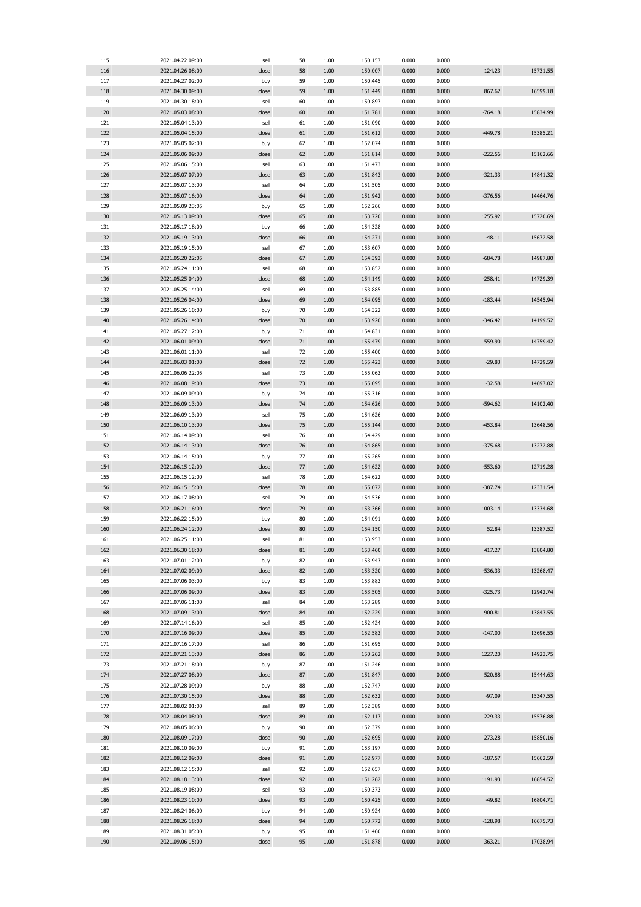| 115 |                  |       |    |      |         |       |       |           |                                                                                              |
|-----|------------------|-------|----|------|---------|-------|-------|-----------|----------------------------------------------------------------------------------------------|
|     | 2021.04.22 09:00 | sell  | 58 | 1.00 | 150.157 | 0.000 | 0.000 |           |                                                                                              |
| 116 | 2021.04.26 08:00 | close | 58 | 1.00 | 150.007 | 0.000 | 0.000 | 124.23    | 15731.55                                                                                     |
| 117 | 2021.04.27 02:00 | buy   | 59 | 1.00 | 150.445 | 0.000 | 0.000 |           |                                                                                              |
| 118 | 2021.04.30 09:00 | close | 59 | 1.00 | 151.449 | 0.000 | 0.000 | 867.62    | 16599.18                                                                                     |
|     |                  |       |    |      |         |       |       |           |                                                                                              |
| 119 | 2021.04.30 18:00 | sell  | 60 | 1.00 | 150.897 | 0.000 | 0.000 |           |                                                                                              |
| 120 | 2021.05.03 08:00 | close | 60 | 1.00 | 151.781 | 0.000 | 0.000 | $-764.18$ | 15834.99                                                                                     |
| 121 | 2021.05.04 13:00 | sell  | 61 | 1.00 | 151.090 | 0.000 | 0.000 |           |                                                                                              |
| 122 | 2021.05.04 15:00 | close | 61 | 1.00 | 151.612 | 0.000 | 0.000 | -449.78   | 15385.21                                                                                     |
| 123 | 2021.05.05 02:00 | buy   | 62 | 1.00 | 152.074 | 0.000 | 0.000 |           |                                                                                              |
| 124 |                  |       | 62 |      | 151.814 | 0.000 | 0.000 | $-222.56$ |                                                                                              |
|     | 2021.05.06 09:00 | close |    | 1.00 |         |       |       |           | 15162.66                                                                                     |
| 125 | 2021.05.06 15:00 | sell  | 63 | 1.00 | 151.473 | 0.000 | 0.000 |           |                                                                                              |
| 126 | 2021.05.07 07:00 | close | 63 | 1.00 | 151.843 | 0.000 | 0.000 | $-321.33$ | 14841.32                                                                                     |
| 127 | 2021.05.07 13:00 | sell  | 64 | 1.00 | 151.505 | 0.000 | 0.000 |           |                                                                                              |
| 128 | 2021.05.07 16:00 | close | 64 | 1.00 | 151.942 | 0.000 | 0.000 | $-376.56$ | 14464.76                                                                                     |
| 129 | 2021.05.09 23:05 |       | 65 | 1.00 | 152.266 | 0.000 | 0.000 |           |                                                                                              |
|     |                  | buy   |    |      |         |       |       |           |                                                                                              |
| 130 | 2021.05.13 09:00 | close | 65 | 1.00 | 153.720 | 0.000 | 0.000 | 1255.92   | 15720.69                                                                                     |
| 131 | 2021.05.17 18:00 | buy   | 66 | 1.00 | 154.328 | 0.000 | 0.000 |           |                                                                                              |
| 132 | 2021.05.19 13:00 | close | 66 | 1.00 | 154.271 | 0.000 | 0.000 | $-48.11$  | 15672.58                                                                                     |
| 133 | 2021.05.19 15:00 | sell  | 67 | 1.00 | 153.607 | 0.000 | 0.000 |           |                                                                                              |
| 134 | 2021.05.20 22:05 | close | 67 | 1.00 | 154.393 | 0.000 | 0.000 | $-684.78$ | 14987.80                                                                                     |
|     |                  |       |    |      |         |       |       |           |                                                                                              |
| 135 | 2021.05.24 11:00 | sell  | 68 | 1.00 | 153.852 | 0.000 | 0.000 |           |                                                                                              |
| 136 | 2021.05.25 04:00 | close | 68 | 1.00 | 154.149 | 0.000 | 0.000 | $-258.41$ | 14729.39                                                                                     |
| 137 | 2021.05.25 14:00 | sell  | 69 | 1.00 | 153.885 | 0.000 | 0.000 |           |                                                                                              |
| 138 | 2021.05.26 04:00 | close | 69 | 1.00 | 154.095 | 0.000 | 0.000 | $-183.44$ | 14545.94                                                                                     |
|     |                  |       |    |      |         |       |       |           |                                                                                              |
| 139 | 2021.05.26 10:00 | buy   | 70 | 1.00 | 154.322 | 0.000 | 0.000 |           |                                                                                              |
| 140 | 2021.05.26 14:00 | close | 70 | 1.00 | 153.920 | 0.000 | 0.000 | $-346.42$ | 14199.52                                                                                     |
| 141 | 2021.05.27 12:00 | buy   | 71 | 1.00 | 154.831 | 0.000 | 0.000 |           |                                                                                              |
| 142 | 2021.06.01 09:00 | close | 71 | 1.00 | 155.479 | 0.000 | 0.000 | 559.90    | 14759.42                                                                                     |
| 143 | 2021.06.01 11:00 | sell  | 72 | 1.00 | 155.400 | 0.000 | 0.000 |           |                                                                                              |
|     |                  |       |    |      |         |       |       |           |                                                                                              |
| 144 | 2021.06.03 01:00 | close | 72 | 1.00 | 155.423 | 0.000 | 0.000 | $-29.83$  | 14729.59                                                                                     |
| 145 | 2021.06.06 22:05 | sell  | 73 | 1.00 | 155.063 | 0.000 | 0.000 |           |                                                                                              |
| 146 | 2021.06.08 19:00 | close | 73 | 1.00 | 155.095 | 0.000 | 0.000 | $-32.58$  | 14697.02                                                                                     |
| 147 | 2021.06.09 09:00 | buy   | 74 | 1.00 | 155.316 | 0.000 | 0.000 |           |                                                                                              |
| 148 | 2021.06.09 13:00 | close | 74 | 1.00 | 154.626 | 0.000 | 0.000 | $-594.62$ | 14102.40                                                                                     |
|     |                  |       |    |      |         |       |       |           |                                                                                              |
| 149 | 2021.06.09 13:00 | sell  | 75 | 1.00 | 154.626 | 0.000 | 0.000 |           |                                                                                              |
| 150 | 2021.06.10 13:00 | close | 75 | 1.00 | 155.144 | 0.000 | 0.000 | $-453.84$ | 13648.56                                                                                     |
| 151 | 2021.06.14 09:00 | sell  | 76 | 1.00 | 154.429 | 0.000 | 0.000 |           |                                                                                              |
| 152 | 2021.06.14 13:00 | close | 76 | 1.00 | 154.865 | 0.000 | 0.000 | $-375.68$ | 13272.88                                                                                     |
| 153 | 2021.06.14 15:00 | buy   | 77 | 1.00 | 155.265 | 0.000 | 0.000 |           |                                                                                              |
|     |                  |       |    |      |         |       |       |           |                                                                                              |
| 154 | 2021.06.15 12:00 | close | 77 | 1.00 | 154.622 | 0.000 | 0.000 | $-553.60$ | 12719.28                                                                                     |
| 155 | 2021.06.15 12:00 | sell  | 78 | 1.00 | 154.622 | 0.000 | 0.000 |           |                                                                                              |
| 156 | 2021.06.15 15:00 | close | 78 | 1.00 | 155.072 | 0.000 | 0.000 | $-387.74$ | 12331.54                                                                                     |
| 157 | 2021.06.17 08:00 | sell  | 79 | 1.00 | 154.536 | 0.000 | 0.000 |           |                                                                                              |
| 158 |                  | close | 79 | 1.00 | 153.366 | 0.000 | 0.000 | 1003.14   | 13334.68                                                                                     |
|     |                  |       |    |      | 154.091 | 0.000 | 0.000 |           |                                                                                              |
|     | 2021.06.21 16:00 |       |    |      |         |       |       |           |                                                                                              |
| 159 | 2021.06.22 15:00 | buy   | 80 | 1.00 |         |       |       |           |                                                                                              |
| 160 | 2021.06.24 12:00 | close | 80 | 1.00 | 154.150 | 0.000 | 0.000 | 52.84     | 13387.52                                                                                     |
| 161 | 2021.06.25 11:00 | sell  | 81 | 1.00 | 153.953 | 0.000 | 0.000 |           |                                                                                              |
| 162 | 2021.06.30 18:00 | close | 81 | 1.00 | 153.460 | 0.000 | 0.000 | 417.27    |                                                                                              |
|     |                  |       |    |      |         |       |       |           |                                                                                              |
| 163 | 2021.07.01 12:00 | buy   | 82 | 1.00 | 153.943 | 0.000 | 0.000 |           |                                                                                              |
| 164 | 2021.07.02 09:00 | close | 82 | 1.00 | 153.320 | 0.000 | 0.000 | $-536.33$ | 13268.47                                                                                     |
| 165 | 2021.07.06 03:00 | buy   | 83 | 1.00 | 153.883 | 0.000 | 0.000 |           |                                                                                              |
| 166 | 2021.07.06 09:00 | close | 83 | 1.00 | 153.505 | 0.000 | 0.000 | $-325.73$ |                                                                                              |
| 167 | 2021.07.06 11:00 | sell  | 84 | 1.00 | 153.289 | 0.000 | 0.000 |           | 13804.80<br>12942.74                                                                         |
|     |                  |       |    |      |         |       |       |           |                                                                                              |
| 168 | 2021.07.09 13:00 | close | 84 | 1.00 | 152.229 | 0.000 | 0.000 | 900.81    | 13843.55                                                                                     |
| 169 | 2021.07.14 16:00 | sell  | 85 | 1.00 | 152.424 | 0.000 | 0.000 |           |                                                                                              |
| 170 | 2021.07.16 09:00 | close | 85 | 1.00 | 152.583 | 0.000 | 0.000 | $-147.00$ |                                                                                              |
| 171 | 2021.07.16 17:00 | sell  | 86 | 1.00 | 151.695 | 0.000 | 0.000 |           |                                                                                              |
| 172 | 2021.07.21 13:00 | close | 86 | 1.00 | 150.262 | 0.000 | 0.000 | 1227.20   |                                                                                              |
|     |                  |       |    |      |         |       |       |           | 13696.55<br>14923.75                                                                         |
| 173 | 2021.07.21 18:00 | buy   | 87 | 1.00 | 151.246 | 0.000 | 0.000 |           |                                                                                              |
| 174 | 2021.07.27 08:00 | close | 87 | 1.00 | 151.847 | 0.000 | 0.000 | 520.88    |                                                                                              |
| 175 | 2021.07.28 09:00 | buy   | 88 | 1.00 | 152.747 | 0.000 | 0.000 |           |                                                                                              |
| 176 | 2021.07.30 15:00 | close | 88 | 1.00 | 152.632 | 0.000 | 0.000 | $-97.09$  |                                                                                              |
|     |                  |       |    |      |         |       |       |           |                                                                                              |
| 177 | 2021.08.02 01:00 | sell  | 89 | 1.00 | 152.389 | 0.000 | 0.000 |           |                                                                                              |
| 178 | 2021.08.04 08:00 | close | 89 | 1.00 | 152.117 | 0.000 | 0.000 | 229.33    |                                                                                              |
| 179 | 2021.08.05 06:00 | buy   | 90 | 1.00 | 152.379 | 0.000 | 0.000 |           |                                                                                              |
| 180 | 2021.08.09 17:00 | close | 90 | 1.00 | 152.695 | 0.000 | 0.000 | 273.28    |                                                                                              |
| 181 | 2021.08.10 09:00 | buy   | 91 | 1.00 | 153.197 | 0.000 | 0.000 |           |                                                                                              |
|     |                  |       |    |      |         |       |       |           |                                                                                              |
| 182 | 2021.08.12 09:00 | close | 91 | 1.00 | 152.977 | 0.000 | 0.000 | $-187.57$ |                                                                                              |
| 183 | 2021.08.12 15:00 | sell  | 92 | 1.00 | 152.657 | 0.000 | 0.000 |           |                                                                                              |
| 184 | 2021.08.18 13:00 | close | 92 | 1.00 | 151.262 | 0.000 | 0.000 | 1191.93   |                                                                                              |
| 185 | 2021.08.19 08:00 | sell  | 93 | 1.00 | 150.373 | 0.000 | 0.000 |           |                                                                                              |
| 186 | 2021.08.23 10:00 | close | 93 | 1.00 | 150.425 | 0.000 | 0.000 | $-49.82$  |                                                                                              |
|     |                  |       |    |      |         |       |       |           |                                                                                              |
| 187 | 2021.08.24 06:00 | buy   | 94 | 1.00 | 150.924 | 0.000 | 0.000 |           |                                                                                              |
| 188 | 2021.08.26 18:00 | close | 94 | 1.00 | 150.772 | 0.000 | 0.000 | $-128.98$ |                                                                                              |
| 189 | 2021.08.31 05:00 | buy   | 95 | 1.00 | 151.460 | 0.000 | 0.000 |           | 15444.63<br>15347.55<br>15576.88<br>15850.16<br>15662.59<br>16854.52<br>16804.71<br>16675.73 |